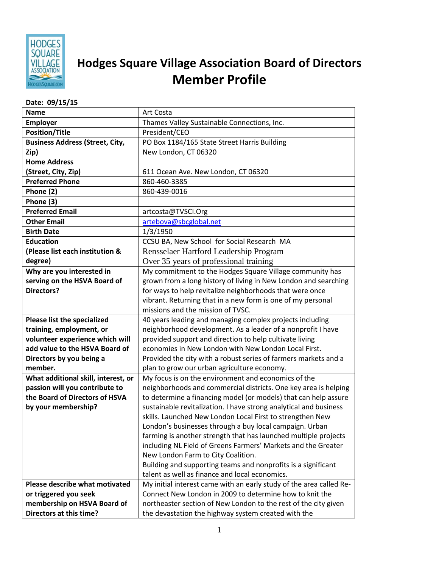

## **Hodges Square Village Association Board of Directors Member Profile**

## **Date: 09/15/15**

| <b>Name</b>                                            | Art Costa                                                           |
|--------------------------------------------------------|---------------------------------------------------------------------|
| <b>Employer</b>                                        | Thames Valley Sustainable Connections, Inc.                         |
| <b>Position/Title</b>                                  | President/CEO                                                       |
| <b>Business Address (Street, City,</b>                 | PO Box 1184/165 State Street Harris Building                        |
| Zip)                                                   | New London, CT 06320                                                |
| <b>Home Address</b>                                    |                                                                     |
| (Street, City, Zip)                                    | 611 Ocean Ave. New London, CT 06320                                 |
| <b>Preferred Phone</b>                                 | 860-460-3385                                                        |
| Phone (2)                                              | 860-439-0016                                                        |
| Phone (3)                                              |                                                                     |
| <b>Preferred Email</b>                                 | artcosta@TVSCI.Org                                                  |
| <b>Other Email</b>                                     | artebova@sbcglobal.net                                              |
| <b>Birth Date</b>                                      | 1/3/1950                                                            |
| <b>Education</b>                                       | CCSU BA, New School for Social Research MA                          |
| (Please list each institution &                        | Rensselaer Hartford Leadership Program                              |
| degree)                                                | Over 35 years of professional training                              |
| Why are you interested in                              | My commitment to the Hodges Square Village community has            |
| serving on the HSVA Board of                           | grown from a long history of living in New London and searching     |
| <b>Directors?</b>                                      | for ways to help revitalize neighborhoods that were once            |
|                                                        | vibrant. Returning that in a new form is one of my personal         |
|                                                        | missions and the mission of TVSC.                                   |
| Please list the specialized                            | 40 years leading and managing complex projects including            |
| training, employment, or                               | neighborhood development. As a leader of a nonprofit I have         |
| volunteer experience which will                        | provided support and direction to help cultivate living             |
| add value to the HSVA Board of                         | economies in New London with New London Local First.                |
| Directors by you being a                               | Provided the city with a robust series of farmers markets and a     |
| member.                                                | plan to grow our urban agriculture economy.                         |
| What additional skill, interest, or                    | My focus is on the environment and economics of the                 |
| passion will you contribute to                         | neighborhoods and commercial districts. One key area is helping     |
| the Board of Directors of HSVA                         | to determine a financing model (or models) that can help assure     |
| by your membership?                                    | sustainable revitalization. I have strong analytical and business   |
|                                                        | skills. Launched New London Local First to strengthen New           |
|                                                        | London's businesses through a buy local campaign. Urban             |
|                                                        | farming is another strength that has launched multiple projects     |
|                                                        | including NL Field of Greens Farmers' Markets and the Greater       |
|                                                        | New London Farm to City Coalition.                                  |
|                                                        | Building and supporting teams and nonprofits is a significant       |
|                                                        | talent as well as finance and local economics.                      |
| Please describe what motivated                         | My initial interest came with an early study of the area called Re- |
| or triggered you seek                                  | Connect New London in 2009 to determine how to knit the             |
| membership on HSVA Board of<br>Directors at this time? | northeaster section of New London to the rest of the city given     |
|                                                        | the devastation the highway system created with the                 |